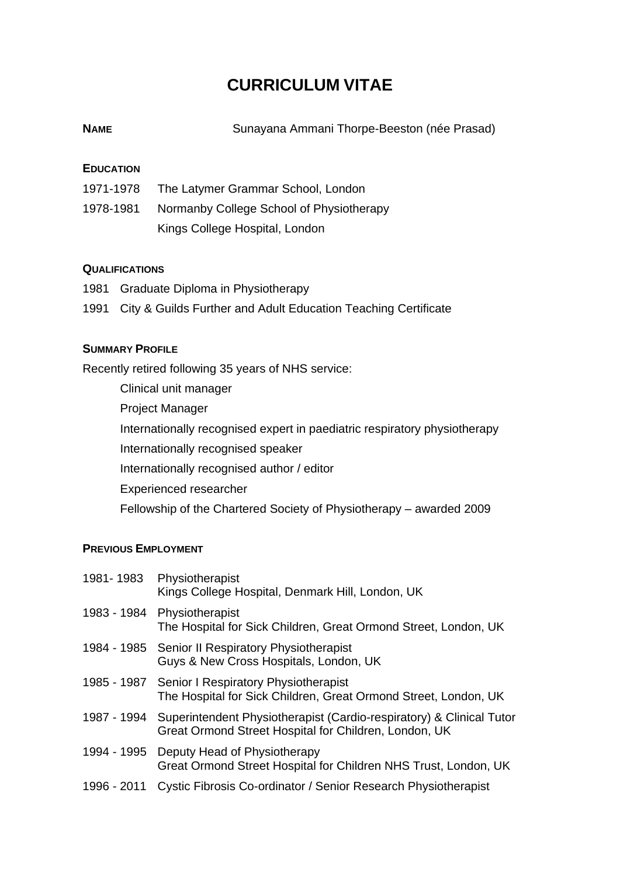# **CURRICULUM VITAE**

| <b>NAME</b> |  | Sunayana Ammani Thorpe-Beeston (née Prasad) |  |
|-------------|--|---------------------------------------------|--|
|             |  |                                             |  |

## **EDUCATION**

- 1971-1978 The Latymer Grammar School, London
- 1978-1981 Normanby College School of Physiotherapy Kings College Hospital, London

### **QUALIFICATIONS**

- 1981 Graduate Diploma in Physiotherapy
- 1991 City & Guilds Further and Adult Education Teaching Certificate

## **SUMMARY PROFILE**

Recently retired following 35 years of NHS service:

Clinical unit manager Project Manager Internationally recognised expert in paediatric respiratory physiotherapy Internationally recognised speaker Internationally recognised author / editor Experienced researcher Fellowship of the Chartered Society of Physiotherapy – awarded 2009

### **PREVIOUS EMPLOYMENT**

| 1981-1983   | Physiotherapist<br>Kings College Hospital, Denmark Hill, London, UK                                                           |
|-------------|-------------------------------------------------------------------------------------------------------------------------------|
| 1983 - 1984 | Physiotherapist<br>The Hospital for Sick Children, Great Ormond Street, London, UK                                            |
|             | 1984 - 1985 Senior II Respiratory Physiotherapist<br>Guys & New Cross Hospitals, London, UK                                   |
|             | 1985 - 1987 Senior I Respiratory Physiotherapist<br>The Hospital for Sick Children, Great Ormond Street, London, UK           |
| 1987 - 1994 | Superintendent Physiotherapist (Cardio-respiratory) & Clinical Tutor<br>Great Ormond Street Hospital for Children, London, UK |
| 1994 - 1995 | Deputy Head of Physiotherapy<br>Great Ormond Street Hospital for Children NHS Trust, London, UK                               |
| 1996 - 2011 | Cystic Fibrosis Co-ordinator / Senior Research Physiotherapist                                                                |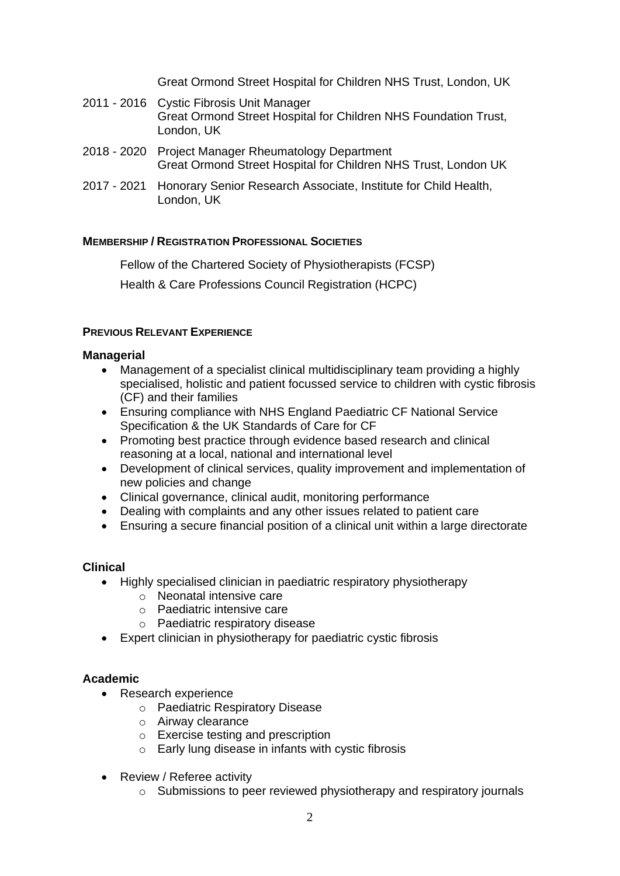Great Ormond Street Hospital for Children NHS Trust, London, UK

- 2011 2016 Cystic Fibrosis Unit Manager Great Ormond Street Hospital for Children NHS Foundation Trust, London, UK
- 2018 2020 Project Manager Rheumatology Department Great Ormond Street Hospital for Children NHS Trust, London UK
- 2017 2021 Honorary Senior Research Associate, Institute for Child Health, London, UK

# **MEMBERSHIP / REGISTRATION PROFESSIONAL SOCIETIES**

Fellow of the Chartered Society of Physiotherapists (FCSP)

Health & Care Professions Council Registration (HCPC)

## **PREVIOUS RELEVANT EXPERIENCE**

### **Managerial**

- Management of a specialist clinical multidisciplinary team providing a highly specialised, holistic and patient focussed service to children with cystic fibrosis (CF) and their families
- Ensuring compliance with NHS England Paediatric CF National Service Specification & the UK Standards of Care for CF
- Promoting best practice through evidence based research and clinical reasoning at a local, national and international level
- Development of clinical services, quality improvement and implementation of new policies and change
- Clinical governance, clinical audit, monitoring performance
- Dealing with complaints and any other issues related to patient care
- Ensuring a secure financial position of a clinical unit within a large directorate

### **Clinical**

- Highly specialised clinician in paediatric respiratory physiotherapy
	- o Neonatal intensive care
	- o Paediatric intensive care
	- o Paediatric respiratory disease
- Expert clinician in physiotherapy for paediatric cystic fibrosis

### **Academic**

- Research experience
	- o Paediatric Respiratory Disease
	- o Airway clearance
	- o Exercise testing and prescription
	- o Early lung disease in infants with cystic fibrosis
- Review / Referee activity
	- o Submissions to peer reviewed physiotherapy and respiratory journals